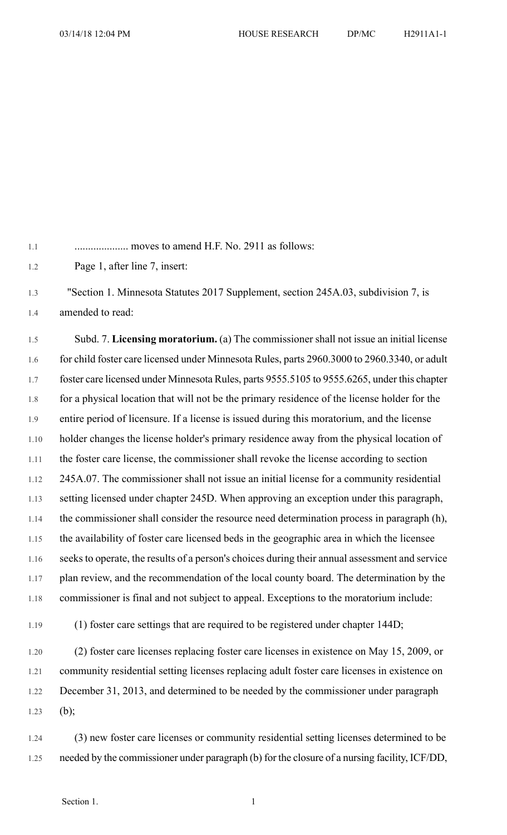1.1 .................... moves to amend H.F. No. 2911 as follows:

1.2 Page 1, after line 7, insert:

1.3 "Section 1. Minnesota Statutes 2017 Supplement, section 245A.03, subdivision 7, is 1.4 amended to read:

1.5 Subd. 7. **Licensing moratorium.** (a) The commissioner shall not issue an initial license 1.6 for child foster care licensed under Minnesota Rules, parts 2960.3000 to 2960.3340, or adult 1.7 foster care licensed under Minnesota Rules, parts 9555.5105 to 9555.6265, under this chapter 1.8 for a physical location that will not be the primary residence of the license holder for the 1.9 entire period of licensure. If a license is issued during this moratorium, and the license 1.10 holder changes the license holder's primary residence away from the physical location of 1.11 the foster care license, the commissioner shall revoke the license according to section 1.12 245A.07. The commissioner shall not issue an initial license for a community residential 1.13 setting licensed under chapter 245D. When approving an exception under this paragraph, 1.14 the commissioner shall consider the resource need determination process in paragraph (h), 1.15 the availability of foster care licensed beds in the geographic area in which the licensee 1.16 seeks to operate, the results of a person's choices during their annual assessment and service 1.17 plan review, and the recommendation of the local county board. The determination by the 1.18 commissioner is final and not subject to appeal. Exceptions to the moratorium include:

1.19 (1) foster care settings that are required to be registered under chapter 144D;

1.20 (2) foster care licenses replacing foster care licenses in existence on May 15, 2009, or 1.21 community residential setting licenses replacing adult foster care licenses in existence on 1.22 December 31, 2013, and determined to be needed by the commissioner under paragraph 1.23 (b);

1.24 (3) new foster care licenses or community residential setting licenses determined to be 1.25 needed by the commissioner under paragraph (b) for the closure of a nursing facility, ICF/DD,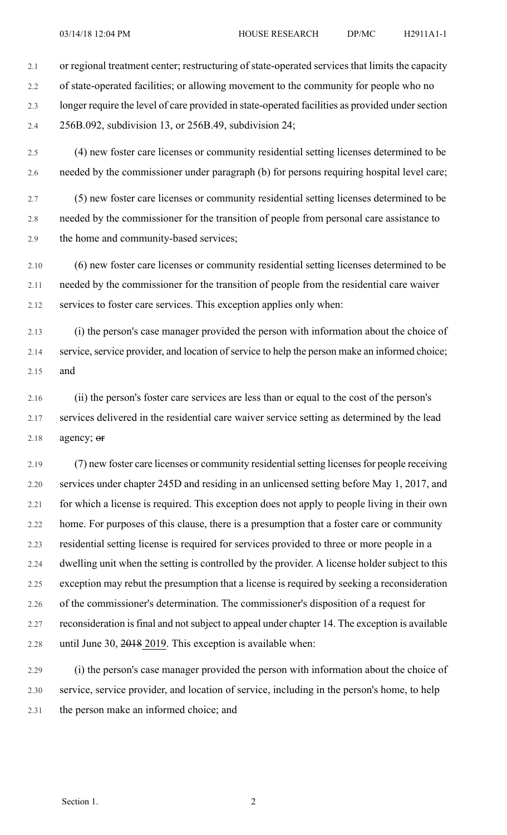2.1 or regional treatment center; restructuring of state-operated services that limits the capacity

2.2 of state-operated facilities; or allowing movement to the community for people who no 2.3 longer require the level of care provided in state-operated facilities as provided under section 2.4 256B.092, subdivision 13, or 256B.49, subdivision 24;

2.5 (4) new foster care licenses or community residential setting licenses determined to be 2.6 needed by the commissioner under paragraph (b) for persons requiring hospital level care;

2.7 (5) new foster care licenses or community residential setting licenses determined to be 2.8 needed by the commissioner for the transition of people from personal care assistance to 2.9 the home and community-based services;

2.10 (6) new foster care licenses or community residential setting licenses determined to be 2.11 needed by the commissioner for the transition of people from the residential care waiver 2.12 services to foster care services. This exception applies only when:

2.13 (i) the person's case manager provided the person with information about the choice of 2.14 service, service provider, and location of service to help the person make an informed choice; 2.15 and

2.16 (ii) the person's foster care services are less than or equal to the cost of the person's 2.17 services delivered in the residential care waiver service setting as determined by the lead  $2.18$  agency;  $er$ 

2.19 (7) new foster care licenses or community residential setting licenses for people receiving 2.20 services under chapter 245D and residing in an unlicensed setting before May 1, 2017, and 2.21 for which a license is required. This exception does not apply to people living in their own 2.22 home. For purposes of this clause, there is a presumption that a foster care or community 2.23 residential setting license is required for services provided to three or more people in a 2.24 dwelling unit when the setting is controlled by the provider. A license holder subject to this 2.25 exception may rebut the presumption that a license is required by seeking a reconsideration 2.26 of the commissioner's determination. The commissioner's disposition of a request for 2.27 reconsideration isfinal and notsubject to appeal under chapter 14. The exception is available 2.28 until June 30, 2018 2019. This exception is available when:

2.29 (i) the person's case manager provided the person with information about the choice of 2.30 service, service provider, and location of service, including in the person's home, to help 2.31 the person make an informed choice; and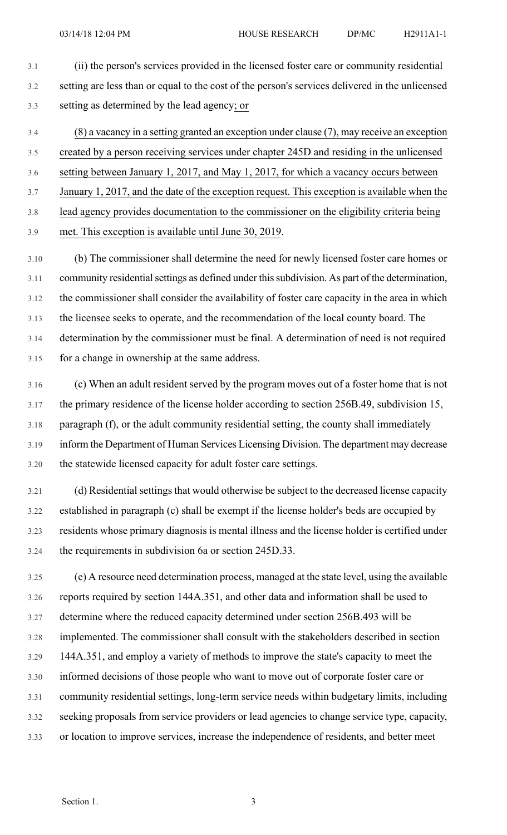3.1 (ii) the person's services provided in the licensed foster care or community residential 3.2 setting are less than or equal to the cost of the person's services delivered in the unlicensed 3.3 setting as determined by the lead agency; or

3.4 (8) a vacancy in a setting granted an exception under clause (7), may receive an exception 3.5 created by a person receiving services under chapter 245D and residing in the unlicensed 3.6 setting between January 1, 2017, and May 1, 2017, for which a vacancy occurs between 3.7 January 1, 2017, and the date of the exception request. This exception is available when the 3.8 lead agency provides documentation to the commissioner on the eligibility criteria being

3.9 met. This exception is available until June 30, 2019.

3.10 (b) The commissioner shall determine the need for newly licensed foster care homes or 3.11 community residential settings as defined under this subdivision. As part of the determination, 3.12 the commissioner shall consider the availability of foster care capacity in the area in which 3.13 the licensee seeks to operate, and the recommendation of the local county board. The 3.14 determination by the commissioner must be final. A determination of need is not required 3.15 for a change in ownership at the same address.

3.16 (c) When an adult resident served by the program moves out of a foster home that is not 3.17 the primary residence of the license holder according to section 256B.49, subdivision 15, 3.18 paragraph (f), or the adult community residential setting, the county shall immediately 3.19 inform the Department of Human Services Licensing Division. The department may decrease 3.20 the statewide licensed capacity for adult foster care settings.

3.21 (d) Residential settings that would otherwise be subject to the decreased license capacity 3.22 established in paragraph (c) shall be exempt if the license holder's beds are occupied by 3.23 residents whose primary diagnosis is mental illness and the license holder is certified under 3.24 the requirements in subdivision 6a or section 245D.33.

3.25 (e) A resource need determination process, managed at the state level, using the available 3.26 reports required by section 144A.351, and other data and information shall be used to 3.27 determine where the reduced capacity determined under section 256B.493 will be 3.28 implemented. The commissioner shall consult with the stakeholders described in section 3.29 144A.351, and employ a variety of methods to improve the state's capacity to meet the 3.30 informed decisions of those people who want to move out of corporate foster care or 3.31 community residential settings, long-term service needs within budgetary limits, including 3.32 seeking proposals from service providers or lead agencies to change service type, capacity, 3.33 or location to improve services, increase the independence of residents, and better meet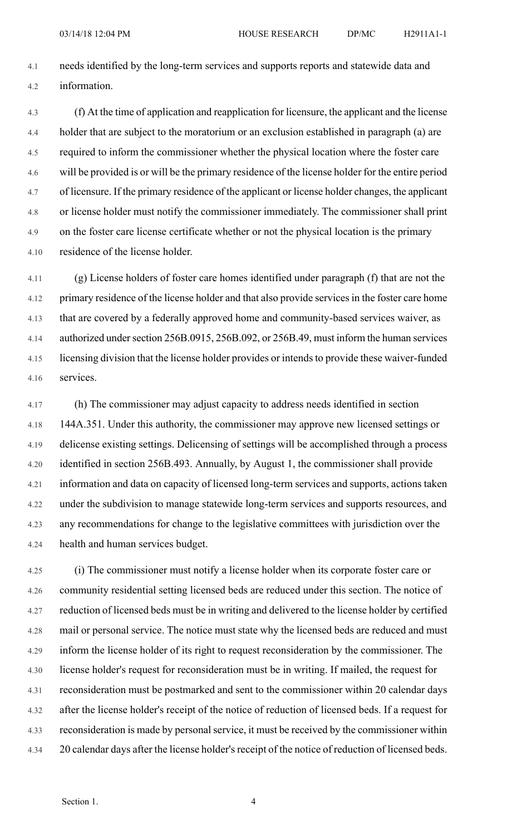4.1 needs identified by the long-term services and supports reports and statewide data and 4.2 information.

4.3 (f) At the time of application and reapplication for licensure, the applicant and the license 4.4 holder that are subject to the moratorium or an exclusion established in paragraph (a) are 4.5 required to inform the commissioner whether the physical location where the foster care 4.6 will be provided is or will be the primary residence of the license holder for the entire period 4.7 of licensure. If the primary residence of the applicant or license holder changes, the applicant 4.8 or license holder must notify the commissioner immediately. The commissioner shall print 4.9 on the foster care license certificate whether or not the physical location is the primary 4.10 residence of the license holder.

4.11 (g) License holders of foster care homes identified under paragraph (f) that are not the 4.12 primary residence of the license holder and that also provide services in the foster care home 4.13 that are covered by a federally approved home and community-based services waiver, as 4.14 authorized undersection 256B.0915, 256B.092, or 256B.49, must inform the human services 4.15 licensing division that the license holder provides or intendsto provide these waiver-funded 4.16 services.

4.17 (h) The commissioner may adjust capacity to address needs identified in section 4.18 144A.351. Under this authority, the commissioner may approve new licensed settings or 4.19 delicense existing settings. Delicensing of settings will be accomplished through a process 4.20 identified in section 256B.493. Annually, by August 1, the commissioner shall provide 4.21 information and data on capacity of licensed long-term services and supports, actions taken 4.22 under the subdivision to manage statewide long-term services and supports resources, and 4.23 any recommendations for change to the legislative committees with jurisdiction over the 4.24 health and human services budget.

4.25 (i) The commissioner must notify a license holder when its corporate foster care or 4.26 community residential setting licensed beds are reduced under this section. The notice of 4.27 reduction of licensed beds must be in writing and delivered to the license holder by certified 4.28 mail or personal service. The notice must state why the licensed beds are reduced and must 4.29 inform the license holder of its right to request reconsideration by the commissioner. The 4.30 license holder's request for reconsideration must be in writing. If mailed, the request for 4.31 reconsideration must be postmarked and sent to the commissioner within 20 calendar days 4.32 after the license holder's receipt of the notice of reduction of licensed beds. If a request for 4.33 reconsideration is made by personalservice, it must be received by the commissioner within 4.34 20 calendar days after the license holder's receipt of the notice of reduction of licensed beds.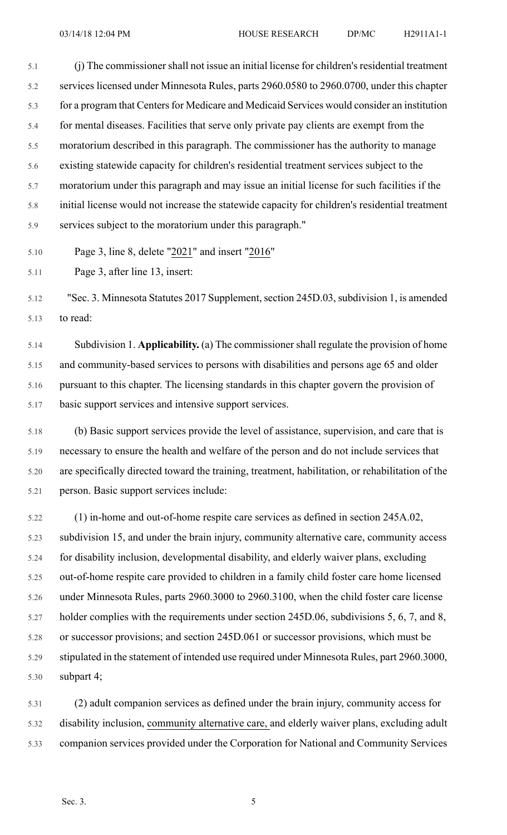5.1 (j) The commissioner shall not issue an initial license for children's residential treatment 5.2 services licensed under Minnesota Rules, parts 2960.0580 to 2960.0700, under this chapter 5.3 for a program that Centers for Medicare and Medicaid Services would consider an institution 5.4 for mental diseases. Facilities that serve only private pay clients are exempt from the 5.5 moratorium described in this paragraph. The commissioner has the authority to manage 5.6 existing statewide capacity for children's residential treatment services subject to the 5.7 moratorium under this paragraph and may issue an initial license for such facilities if the 5.8 initial license would not increase the statewide capacity for children's residential treatment 5.9 services subject to the moratorium under this paragraph."

5.10 Page 3, line 8, delete "2021" and insert "2016"

5.11 Page 3, after line 13, insert:

5.12 "Sec. 3. Minnesota Statutes 2017 Supplement, section 245D.03, subdivision 1, is amended 5.13 to read:

5.14 Subdivision 1. **Applicability.** (a) The commissionershall regulate the provision of home 5.15 and community-based services to persons with disabilities and persons age 65 and older 5.16 pursuant to this chapter. The licensing standards in this chapter govern the provision of 5.17 basic support services and intensive support services.

5.18 (b) Basic support services provide the level of assistance, supervision, and care that is 5.19 necessary to ensure the health and welfare of the person and do not include services that 5.20 are specifically directed toward the training, treatment, habilitation, or rehabilitation of the 5.21 person. Basic support services include:

5.22 (1) in-home and out-of-home respite care services as defined in section 245A.02, 5.23 subdivision 15, and under the brain injury, community alternative care, community access 5.24 for disability inclusion, developmental disability, and elderly waiver plans, excluding 5.25 out-of-home respite care provided to children in a family child foster care home licensed 5.26 under Minnesota Rules, parts 2960.3000 to 2960.3100, when the child foster care license 5.27 holder complies with the requirements under section 245D.06, subdivisions 5, 6, 7, and 8, 5.28 or successor provisions; and section 245D.061 or successor provisions, which must be 5.29 stipulated in the statement of intended use required under Minnesota Rules, part 2960.3000, 5.30 subpart 4;

5.31 (2) adult companion services as defined under the brain injury, community access for 5.32 disability inclusion, community alternative care, and elderly waiver plans, excluding adult 5.33 companion services provided under the Corporation for National and Community Services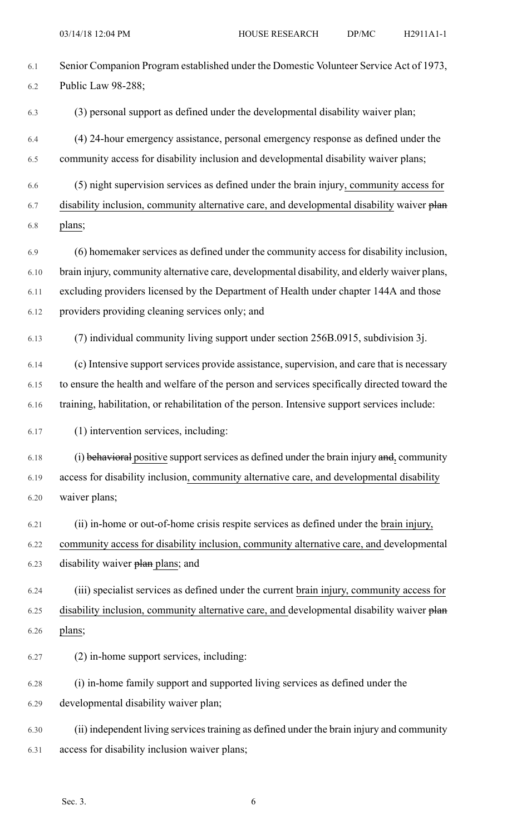| 6.1  | Senior Companion Program established under the Domestic Volunteer Service Act of 1973,        |
|------|-----------------------------------------------------------------------------------------------|
| 6.2  | Public Law 98-288;                                                                            |
| 6.3  | (3) personal support as defined under the developmental disability waiver plan;               |
| 6.4  | (4) 24-hour emergency assistance, personal emergency response as defined under the            |
| 6.5  | community access for disability inclusion and developmental disability waiver plans;          |
| 6.6  | (5) night supervision services as defined under the brain injury, community access for        |
| 6.7  | disability inclusion, community alternative care, and developmental disability waiver plan    |
| 6.8  | plans;                                                                                        |
| 6.9  | (6) homemaker services as defined under the community access for disability inclusion,        |
| 6.10 | brain injury, community alternative care, developmental disability, and elderly waiver plans, |
| 6.11 | excluding providers licensed by the Department of Health under chapter 144A and those         |
| 6.12 | providers providing cleaning services only; and                                               |
| 6.13 | (7) individual community living support under section 256B.0915, subdivision 3j.              |
| 6.14 | (c) Intensive support services provide assistance, supervision, and care that is necessary    |
| 6.15 | to ensure the health and welfare of the person and services specifically directed toward the  |
| 6.16 | training, habilitation, or rehabilitation of the person. Intensive support services include:  |
| 6.17 | (1) intervention services, including:                                                         |
| 6.18 | (i) behavioral positive support services as defined under the brain injury and, community     |
| 6.19 | access for disability inclusion, community alternative care, and developmental disability     |
| 6.20 | waiver plans;                                                                                 |
| 6.21 | (ii) in-home or out-of-home crisis respite services as defined under the brain injury,        |
| 6.22 | community access for disability inclusion, community alternative care, and developmental      |
| 6.23 | disability waiver plane plans; and                                                            |
| 6.24 | (iii) specialist services as defined under the current brain injury, community access for     |
| 6.25 | disability inclusion, community alternative care, and developmental disability waiver plan    |

6.26 plans;

6.27 (2) in-home support services, including:

6.28 (i) in-home family support and supported living services as defined under the 6.29 developmental disability waiver plan;

6.30 (ii) independent living servicestraining as defined under the brain injury and community 6.31 access for disability inclusion waiver plans;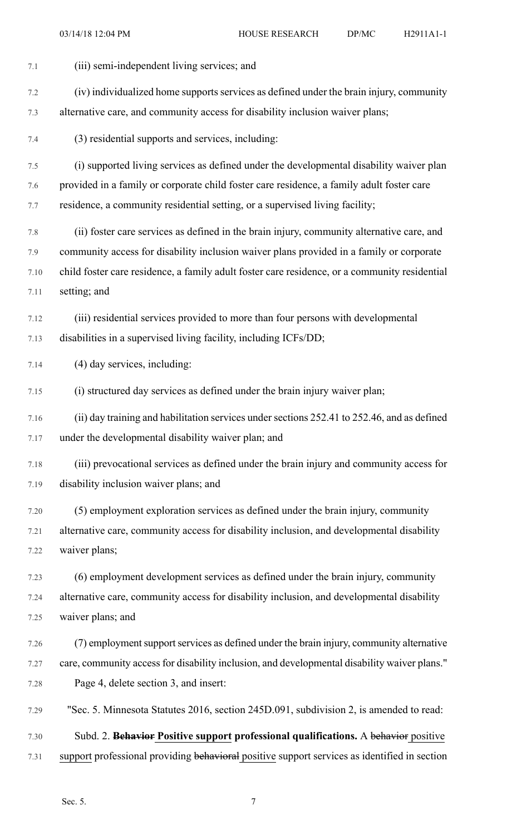| 7.1  | (iii) semi-independent living services; and                                                   |
|------|-----------------------------------------------------------------------------------------------|
| 7.2  | (iv) individualized home supports services as defined under the brain injury, community       |
| 7.3  | alternative care, and community access for disability inclusion waiver plans;                 |
| 7.4  | (3) residential supports and services, including:                                             |
| 7.5  | (i) supported living services as defined under the developmental disability waiver plan       |
| 7.6  | provided in a family or corporate child foster care residence, a family adult foster care     |
| 7.7  | residence, a community residential setting, or a supervised living facility;                  |
| 7.8  | (ii) foster care services as defined in the brain injury, community alternative care, and     |
| 7.9  | community access for disability inclusion waiver plans provided in a family or corporate      |
| 7.10 | child foster care residence, a family adult foster care residence, or a community residential |
| 7.11 | setting; and                                                                                  |
| 7.12 | (iii) residential services provided to more than four persons with developmental              |
| 7.13 | disabilities in a supervised living facility, including ICFs/DD;                              |
| 7.14 | (4) day services, including:                                                                  |
| 7.15 | (i) structured day services as defined under the brain injury waiver plan;                    |
| 7.16 | (ii) day training and habilitation services under sections 252.41 to 252.46, and as defined   |
| 7.17 | under the developmental disability waiver plan; and                                           |
| 7.18 | (iii) prevocational services as defined under the brain injury and community access for       |
| 7.19 | disability inclusion waiver plans; and                                                        |
| 7.20 | (5) employment exploration services as defined under the brain injury, community              |
| 7.21 | alternative care, community access for disability inclusion, and developmental disability     |
| 7.22 | waiver plans;                                                                                 |
| 7.23 | (6) employment development services as defined under the brain injury, community              |
| 7.24 | alternative care, community access for disability inclusion, and developmental disability     |
| 7.25 | waiver plans; and                                                                             |
| 7.26 | (7) employment support services as defined under the brain injury, community alternative      |
| 7.27 | care, community access for disability inclusion, and developmental disability waiver plans."  |
| 7.28 | Page 4, delete section 3, and insert:                                                         |
| 7.29 | "Sec. 5. Minnesota Statutes 2016, section 245D.091, subdivision 2, is amended to read:        |
| 7.30 | Subd. 2. Behavior Positive support professional qualifications. A behavior positive           |
| 7.31 | support professional providing behavioral positive support services as identified in section  |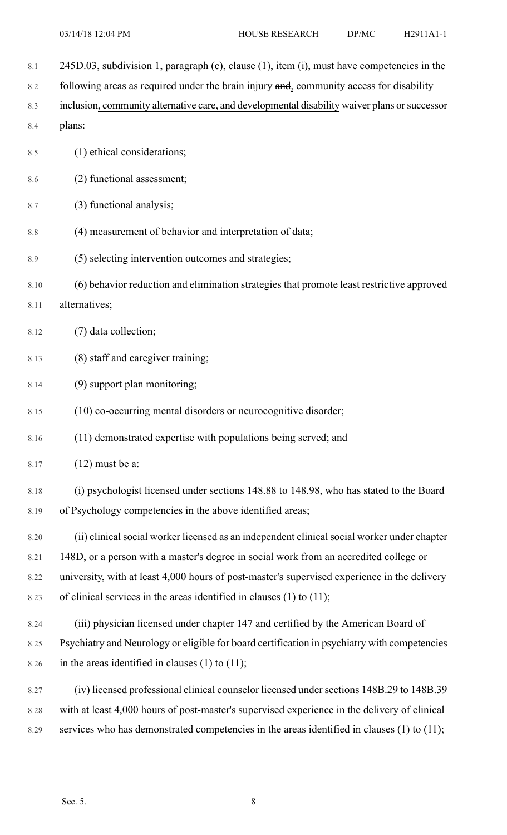8.1 245D.03, subdivision 1, paragraph (c), clause (1), item (i), must have competencies in the 8.2 following areas as required under the brain injury and, community access for disability 8.3 inclusion, community alternative care, and developmental disability waiver plans or successor 8.4 plans: 8.5 (1) ethical considerations; 8.6 (2) functional assessment; 8.7 (3) functional analysis; 8.8 (4) measurement of behavior and interpretation of data; 8.9 (5) selecting intervention outcomes and strategies; 8.10 (6) behavior reduction and elimination strategies that promote least restrictive approved 8.11 alternatives; 8.12 (7) data collection; 8.13 (8) staff and caregiver training; 8.14 (9) support plan monitoring; 8.15 (10) co-occurring mental disorders or neurocognitive disorder; 8.16 (11) demonstrated expertise with populations being served; and 8.17 (12) must be a: 8.18 (i) psychologist licensed under sections 148.88 to 148.98, who has stated to the Board 8.19 of Psychology competencies in the above identified areas; 8.20 (ii) clinical social worker licensed as an independent clinical social worker under chapter 8.21 148D, or a person with a master's degree in social work from an accredited college or 8.22 university, with at least 4,000 hours of post-master's supervised experience in the delivery 8.23 of clinical services in the areas identified in clauses (1) to (11); 8.24 (iii) physician licensed under chapter 147 and certified by the American Board of 8.25 Psychiatry and Neurology or eligible for board certification in psychiatry with competencies 8.26 in the areas identified in clauses  $(1)$  to  $(11)$ ; 8.27 (iv) licensed professional clinical counselor licensed under sections 148B.29 to 148B.39 8.28 with at least 4,000 hours of post-master's supervised experience in the delivery of clinical

8.29 services who has demonstrated competencies in the areas identified in clauses (1) to (11);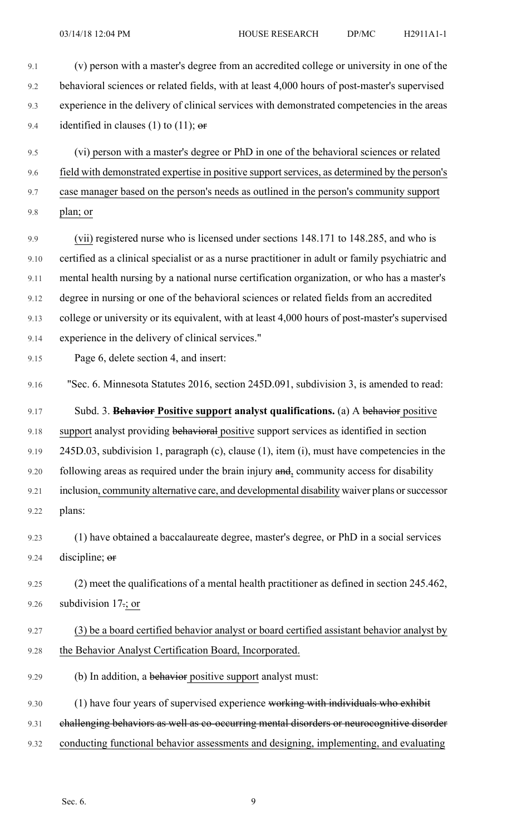9.1 (v) person with a master's degree from an accredited college or university in one of the 9.2 behavioral sciences or related fields, with at least 4,000 hours of post-master's supervised 9.3 experience in the delivery of clinical services with demonstrated competencies in the areas 9.4 identified in clauses (1) to (11);  $\theta$ 9.5 (vi) person with a master's degree or PhD in one of the behavioral sciences or related 9.6 field with demonstrated expertise in positive support services, as determined by the person's 9.7 case manager based on the person's needs as outlined in the person's community support 9.8 plan; or 9.9 (vii) registered nurse who is licensed under sections 148.171 to 148.285, and who is 9.10 certified as a clinical specialist or as a nurse practitioner in adult or family psychiatric and 9.11 mental health nursing by a national nurse certification organization, or who has a master's 9.12 degree in nursing or one of the behavioral sciences or related fields from an accredited 9.13 college or university or its equivalent, with at least 4,000 hours of post-master's supervised 9.14 experience in the delivery of clinical services." 9.15 Page 6, delete section 4, and insert: 9.16 "Sec. 6. Minnesota Statutes 2016, section 245D.091, subdivision 3, is amended to read: 9.17 Subd. 3. **Behavior Positive support analyst qualifications.** (a) A behavior positive 9.18 support analyst providing behavioral positive support services as identified in section 9.19 245D.03, subdivision 1, paragraph (c), clause (1), item (i), must have competencies in the 9.20 following areas as required under the brain injury and, community access for disability 9.21 inclusion, community alternative care, and developmental disability waiver plans or successor 9.22 plans: 9.23 (1) have obtained a baccalaureate degree, master's degree, or PhD in a social services 9.24 discipline; or 9.25 (2) meet the qualifications of a mental health practitioner as defined in section 245.462, 9.26 subdivision 17.; or 9.27 (3) be a board certified behavior analyst or board certified assistant behavior analyst by 9.28 the Behavior Analyst Certification Board, Incorporated. 9.29 (b) In addition, a behavior positive support analyst must: 9.30 (1) have four years of supervised experience working with individuals who exhibit 9.31 challenging behaviors as well as co-occurring mental disorders or neurocognitive disorder 9.32 conducting functional behavior assessments and designing, implementing, and evaluating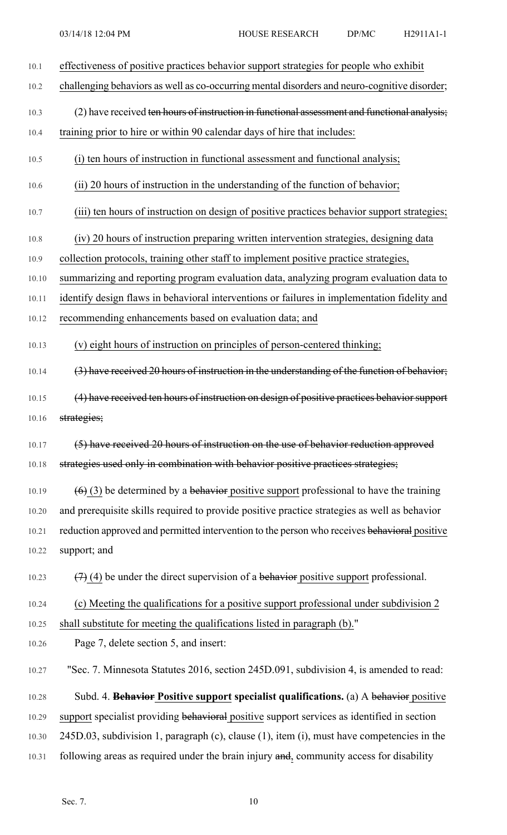10.1 effectiveness of positive practices behavior support strategies for people who exhibit

10.2 challenging behaviors as well as co-occurring mental disorders and neuro-cognitive disorder;

10.3 (2) have received ten hours of instruction in functional assessment and functional analysis;

10.4 training prior to hire or within 90 calendar days of hire that includes:

- 10.5 (i) ten hours of instruction in functional assessment and functional analysis;
- 10.6 (ii) 20 hours of instruction in the understanding of the function of behavior;

10.7 (iii) ten hours of instruction on design of positive practices behavior support strategies;

- 10.8 (iv) 20 hours of instruction preparing written intervention strategies, designing data
- 10.9 collection protocols, training other staff to implement positive practice strategies,

10.10 summarizing and reporting program evaluation data, analyzing program evaluation data to

10.11 identify design flaws in behavioral interventions or failures in implementation fidelity and

10.12 recommending enhancements based on evaluation data; and

10.13 (v) eight hours of instruction on principles of person-centered thinking;

10.14 (3) have received 20 hours of instruction in the understanding of the function of behavior;

10.15 (4) have received ten hours of instruction on design of positive practices behavior support 10.16 strategies;

10.17 (5) have received 20 hours of instruction on the use of behavior reduction approved 10.18 strategies used only in combination with behavior positive practices strategies;

10.19  $(6)$  (3) be determined by a behavior positive support professional to have the training 10.20 and prerequisite skills required to provide positive practice strategies as well as behavior 10.21 reduction approved and permitted intervention to the person who receives behavioral positive 10.22 support; and

10.23  $(7)$  (4) be under the direct supervision of a behavior positive support professional.

10.24 (c) Meeting the qualifications for a positive support professional under subdivision 2

10.25 shall substitute for meeting the qualifications listed in paragraph (b)."

10.26 Page 7, delete section 5, and insert:

10.27 "Sec. 7. Minnesota Statutes 2016, section 245D.091, subdivision 4, is amended to read:

10.28 Subd. 4. **Behavior Positive support specialist qualifications.** (a) A behavior positive 10.29 support specialist providing behavioral positive support services as identified in section 10.30 245D.03, subdivision 1, paragraph (c), clause (1), item (i), must have competencies in the 10.31 following areas as required under the brain injury and, community access for disability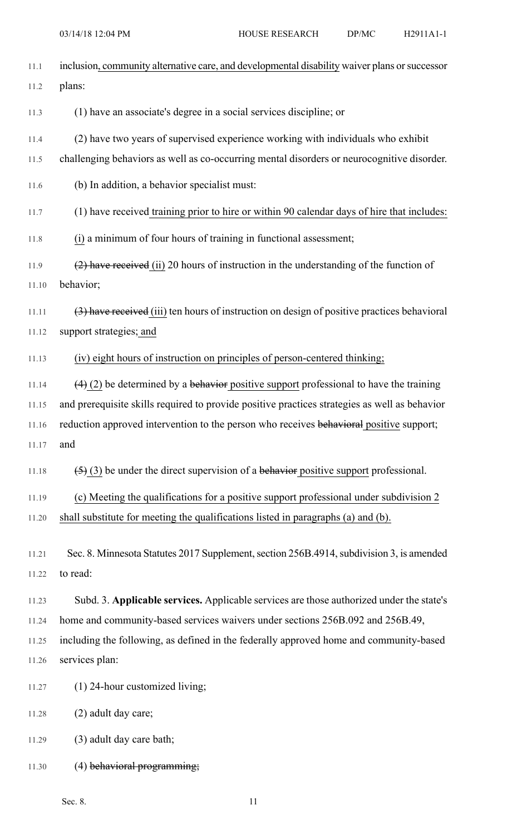| 11.1  | inclusion, community alternative care, and developmental disability waiver plans or successor |
|-------|-----------------------------------------------------------------------------------------------|
| 11.2  | plans:                                                                                        |
| 11.3  | (1) have an associate's degree in a social services discipline; or                            |
| 11.4  | (2) have two years of supervised experience working with individuals who exhibit              |
| 11.5  | challenging behaviors as well as co-occurring mental disorders or neurocognitive disorder.    |
| 11.6  | (b) In addition, a behavior specialist must:                                                  |
| 11.7  | (1) have received training prior to hire or within 90 calendar days of hire that includes:    |
| 11.8  | (i) a minimum of four hours of training in functional assessment;                             |
| 11.9  | $(2)$ have received (ii) 20 hours of instruction in the understanding of the function of      |
| 11.10 | behavior;                                                                                     |
| 11.11 | (3) have received (iii) ten hours of instruction on design of positive practices behavioral   |
| 11.12 | support strategies; and                                                                       |
| 11.13 | (iv) eight hours of instruction on principles of person-centered thinking;                    |
| 11.14 | $(4)$ (2) be determined by a behavior positive support professional to have the training      |
| 11.15 | and prerequisite skills required to provide positive practices strategies as well as behavior |
| 11.16 | reduction approved intervention to the person who receives behavioral positive support;       |
| 11.17 | and                                                                                           |
| 11.18 | $(5)$ (3) be under the direct supervision of a behavior positive support professional.        |
| 11.19 | (c) Meeting the qualifications for a positive support professional under subdivision 2        |
| 11.20 | shall substitute for meeting the qualifications listed in paragraphs (a) and (b).             |
| 11.21 | Sec. 8. Minnesota Statutes 2017 Supplement, section 256B.4914, subdivision 3, is amended      |
| 11.22 | to read:                                                                                      |
| 11.23 | Subd. 3. Applicable services. Applicable services are those authorized under the state's      |
| 11.24 | home and community-based services waivers under sections 256B.092 and 256B.49,                |
| 11.25 | including the following, as defined in the federally approved home and community-based        |
| 11.26 | services plan:                                                                                |
| 11.27 | (1) 24-hour customized living;                                                                |
| 11.28 | (2) adult day care;                                                                           |
| 11.29 | (3) adult day care bath;                                                                      |
| 11.30 | $(4)$ behavioral programming;                                                                 |

Sec. 8. 11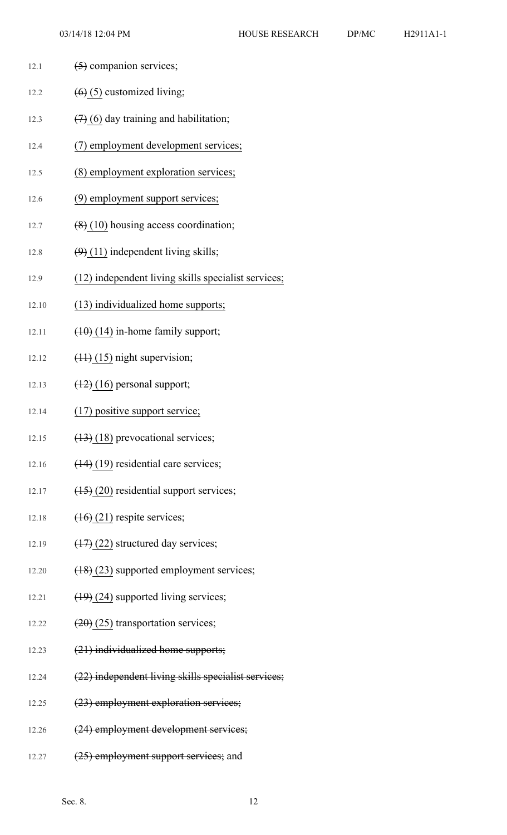- 12.1  $(5)$  companion services;
- 12.2  $(6)$  (5) customized living;
- 12.3  $(7)(6)$  day training and habilitation;
- 12.4 (7) employment development services;
- 12.5 (8) employment exploration services;
- 12.6 (9) employment support services;
- 12.7  $(8)(10)$  housing access coordination;
- 12.8  $(9)(11)$  independent living skills;
- 12.9 (12) independent living skills specialist services;
- 12.10 (13) individualized home supports;
- 12.11  $(10)(14)$  in-home family support;
- 12.12  $(11)(15)$  night supervision;
- 12.13  $(12) (16)$  personal support;
- 12.14 (17) positive support service;
- 12.15  $(13)$  (18) prevocational services;
- 12.16  $(14)$  (19) residential care services;
- 12.17  $(15)(20)$  residential support services;
- 12.18  $(16)(21)$  respite services;
- 12.19  $(17)(22)$  structured day services;
- 12.20 (18) (23) supported employment services;
- 12.21  $(19)(24)$  supported living services;
- 12.22  $(20)(25)$  transportation services;
- 12.23 (21) individualized home supports;
- 12.24 (22) independent living skills specialist services;
- 12.25 (23) employment exploration services;
- 12.26 (24) employment development services;
- 12.27 (25) employment support services; and